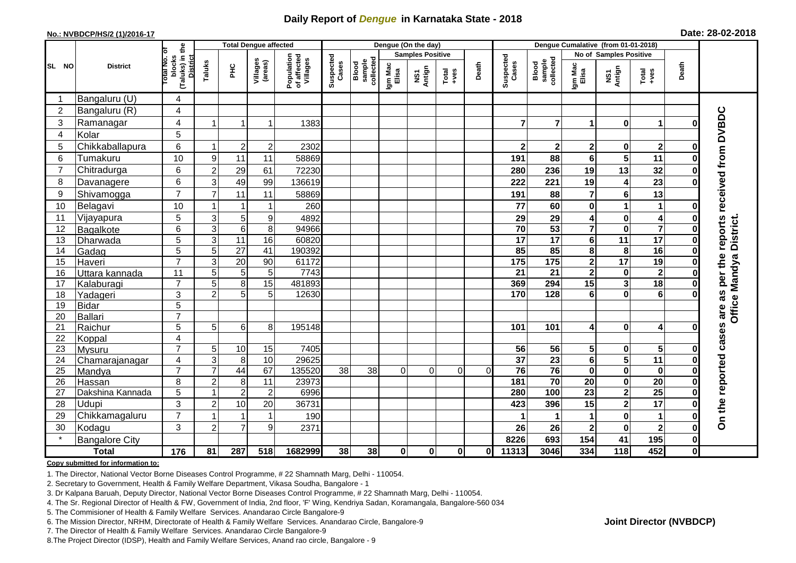## **Daily Report of** *Dengue* **in Karnataka State - 2018**

#### **No.: NVBDCP/HS/2 (1)/2016-17**

|  |  | Date: 28-02-2018 |
|--|--|------------------|
|--|--|------------------|

|                |                          |                                                   |                           | <b>Total Dengue affected</b> |                     |                                       | Dengue (On the day) |                              |                  |                         |                                                              |          |                       |                              |                         |                              |                                    |              |                                |
|----------------|--------------------------|---------------------------------------------------|---------------------------|------------------------------|---------------------|---------------------------------------|---------------------|------------------------------|------------------|-------------------------|--------------------------------------------------------------|----------|-----------------------|------------------------------|-------------------------|------------------------------|------------------------------------|--------------|--------------------------------|
|                |                          | ō                                                 |                           |                              |                     |                                       |                     |                              |                  | <b>Samples Positive</b> |                                                              |          |                       |                              | No of Samples Positive  |                              |                                    |              |                                |
| SL NO          | <b>District</b>          | (Taluks) in the<br>District<br>otal No.<br>blocks | Taluks                    | $rac{C}{\pi}$                | Villages<br>(areas) | Population<br>of affected<br>Villages | Suspected<br>Cases  | sample<br>collected<br>Blood | Igm Mac<br>Elisa | NS1<br>Antign           | $\begin{array}{c}\n\text{Total} \\ \text{+ves}\n\end{array}$ | Death    | Suspected<br>Cases    | Blood<br>sample<br>collected | Igm Mac<br>Elisa        | NS1<br>Antign                | Total<br>+ves                      | Death        |                                |
| -1             | Bangaluru (U)            | 4                                                 |                           |                              |                     |                                       |                     |                              |                  |                         |                                                              |          |                       |                              |                         |                              |                                    |              |                                |
| $\overline{2}$ | Bangaluru (R)            | 4                                                 |                           |                              |                     |                                       |                     |                              |                  |                         |                                                              |          |                       |                              |                         |                              |                                    |              |                                |
| 3              | Ramanagar                | 4                                                 | $\overline{1}$            |                              | 1                   | 1383                                  |                     |                              |                  |                         |                                                              |          | 7                     | $\overline{7}$               | 1                       | $\bf{0}$                     | $\mathbf 1$                        | 0            | reports received from DVBDC    |
| 4              | Kolar                    | 5                                                 |                           |                              |                     |                                       |                     |                              |                  |                         |                                                              |          |                       |                              |                         |                              |                                    |              |                                |
| 5              | Chikkaballapura          | 6                                                 | $\overline{1}$            | $\overline{2}$               | $\overline{c}$      | 2302                                  |                     |                              |                  |                         |                                                              |          | $\mathbf{2}$          | 2 <sub>1</sub>               | $\overline{\mathbf{2}}$ | $\bf{0}$                     | $\mathbf{2}$                       | $\bf{0}$     |                                |
| 6              | Tumakuru                 | 10                                                | 9                         | 11                           | 11                  | 58869                                 |                     |                              |                  |                         |                                                              |          | 191                   | 88                           | 6                       | 5                            | 11                                 | Ω            |                                |
| $\overline{7}$ | Chitradurga              | 6                                                 | $\overline{c}$            | 29                           | 61                  | 72230                                 |                     |                              |                  |                         |                                                              |          | 280                   | 236                          | 19                      | 13                           | 32                                 | ŋ            |                                |
| 8              | Davanagere               | 6                                                 | 3                         | 49                           | 99                  | 136619                                |                     |                              |                  |                         |                                                              |          | 222                   | 221                          | 19                      | $\overline{\mathbf{4}}$      | 23                                 | O            |                                |
| 9              | Shivamogga               | $\overline{7}$                                    | $\overline{7}$            | 11                           | 11                  | 58869                                 |                     |                              |                  |                         |                                                              |          | 191                   | 88                           | 7                       | $\bf 6$                      | 13                                 |              |                                |
| 10             | Belagavi                 | 10                                                |                           |                              | 1                   | 260                                   |                     |                              |                  |                         |                                                              |          | 77                    | 60                           | $\mathbf 0$             | 1                            | $\mathbf{1}$                       | O            |                                |
| 11             | Vijayapura               | 5                                                 | $\mathsf 3$               | 5                            | 9                   | 4892                                  |                     |                              |                  |                         |                                                              |          | 29                    | 29                           | 4                       | $\pmb{0}$                    | $\overline{\mathbf{4}}$            | 0            |                                |
| 12             | Bagalkote                | 6                                                 | $\ensuremath{\mathsf{3}}$ | $\overline{6}$               | 8                   | 94966                                 |                     |                              |                  |                         |                                                              |          | 70                    | 53                           | $\overline{\mathbf{7}}$ | $\mathbf 0$                  | $\overline{\mathbf{7}}$            | 0            | <b>Office Mandya District.</b> |
| 13             | Dharwada                 | $\overline{5}$                                    | $\overline{3}$            | 11                           | 16                  | 60820                                 |                     |                              |                  |                         |                                                              |          | $\overline{17}$       | $\overline{17}$              | 6                       | 11                           | $\overline{17}$                    | $\bf{0}$     |                                |
| 14             | Gadag                    | $\overline{5}$                                    | $\overline{5}$            | $\overline{27}$              | $\overline{41}$     | 190392                                |                     |                              |                  |                         |                                                              |          | 85                    | 85                           | 8                       | 8                            | 16                                 | $\bf{0}$     |                                |
| 15             | Haveri                   | $\overline{7}$                                    | 3                         | 20                           | 90                  | 61172                                 |                     |                              |                  |                         |                                                              |          | 175                   | $\frac{1}{175}$              | $\mathbf{2}$            | $\overline{17}$              | 19                                 | 0            |                                |
| 16             | Uttara kannada           | 11                                                | 5                         | $\overline{5}$               | 5                   | 7743                                  |                     |                              |                  |                         |                                                              |          | $\overline{21}$       | $\overline{21}$              | $\overline{\mathbf{2}}$ | $\pmb{0}$                    | $\overline{2}$                     | 0            | as per the                     |
| 17             | Kalaburagi               | $\overline{7}$                                    | $\sqrt{5}$                | 8                            | 15                  | 481893                                |                     |                              |                  |                         |                                                              |          | 369                   | 294                          | 15                      | $\overline{\mathbf{3}}$      | 18                                 |              |                                |
| 18             | Yadageri                 | 3                                                 | $\overline{2}$            | 5                            | 5                   | 12630                                 |                     |                              |                  |                         |                                                              |          | 170                   | 128                          | 6                       | $\mathbf 0$                  | $6\phantom{1}6$                    |              |                                |
| 19             | <b>Bidar</b>             | 5                                                 |                           |                              |                     |                                       |                     |                              |                  |                         |                                                              |          |                       |                              |                         |                              |                                    |              |                                |
| 20             | <b>Ballari</b>           | $\overline{7}$                                    |                           |                              |                     |                                       |                     |                              |                  |                         |                                                              |          |                       |                              |                         |                              |                                    |              |                                |
| 21             | Raichur                  | 5                                                 | 5                         | 6                            | 8                   | 195148                                |                     |                              |                  |                         |                                                              |          | 101                   | 101                          | 4                       | $\bf{0}$                     | $\overline{\mathbf{4}}$            | O            |                                |
| 22             | Koppal                   | $\overline{\mathbf{4}}$<br>$\overline{7}$         |                           |                              |                     |                                       |                     |                              |                  |                         |                                                              |          |                       |                              |                         |                              |                                    |              |                                |
| 23<br>24       | Mysuru                   | $\overline{4}$                                    | 5<br>3                    | 10<br>8                      | 15<br>10            | 7405<br>29625                         |                     |                              |                  |                         |                                                              |          | 56<br>$\overline{37}$ | 56<br>$\overline{23}$        | 5<br>6                  | 0<br>$\overline{\mathbf{5}}$ | $5\phantom{.0}$<br>$\overline{11}$ | 0<br>0       |                                |
| 25             | Chamarajanagar<br>Mandya | $\overline{7}$                                    | $\overline{7}$            | 44                           | 67                  | 135520                                | $\overline{38}$     | 38                           | $\Omega$         | $\Omega$                | $\Omega$                                                     | $\Omega$ | 76                    | 76                           | $\mathbf 0$             | $\overline{\mathbf{0}}$      | $\mathbf 0$                        | $\bf{0}$     |                                |
| 26             | Hassan                   | 8                                                 | $\overline{2}$            | 8                            | 11                  | 23973                                 |                     |                              |                  |                         |                                                              |          | 181                   | 70                           | 20                      | $\mathbf 0$                  | $\overline{20}$                    | $\bf{0}$     |                                |
| 27             | Dakshina Kannada         | 5                                                 | 1                         | $\overline{c}$               | $\overline{c}$      | 6996                                  |                     |                              |                  |                         |                                                              |          | 280                   | 100                          | $\overline{23}$         | $\overline{\mathbf{2}}$      | 25                                 | 0            |                                |
| 28             | Udupi                    | 3                                                 | $\overline{c}$            | 10                           | 20                  | 36731                                 |                     |                              |                  |                         |                                                              |          | 423                   | 396                          | 15                      | $\mathbf{2}$                 | 17                                 | O            |                                |
| 29             | Chikkamagaluru           | $\overline{7}$                                    |                           |                              | $\mathbf{1}$        | 190                                   |                     |                              |                  |                         |                                                              |          |                       |                              | 1                       | $\pmb{0}$                    |                                    | O            | On the reported cases are      |
| 30             | Kodagu                   | 3                                                 | $\overline{2}$            | $\overline{7}$               | 9                   | 2371                                  |                     |                              |                  |                         |                                                              |          | 26                    | 26                           | $\overline{\mathbf{2}}$ | $\mathbf 0$                  | $\overline{\mathbf{2}}$            | $\bf{0}$     |                                |
|                | <b>Bangalore City</b>    |                                                   |                           |                              |                     |                                       |                     |                              |                  |                         |                                                              |          | 8226                  | 693                          | 154                     | 41                           | 195                                | $\mathbf 0$  |                                |
|                | <b>Total</b>             | 176                                               | 81                        | 287                          | 518                 | 1682999                               | 38                  | 38                           | $\mathbf{0}$     | $\mathbf 0$             | $\mathbf 0$                                                  | Οl       | 11313                 | 3046                         | 334                     | $\frac{1}{18}$               | 452                                | $\mathbf{0}$ |                                |

#### **Copy submitted for information to:**

1. The Director, National Vector Borne Diseases Control Programme, # 22 Shamnath Marg, Delhi - 110054.

2. Secretary to Government, Health & Family Welfare Department, Vikasa Soudha, Bangalore - 1

3. Dr Kalpana Baruah, Deputy Director, National Vector Borne Diseases Control Programme, # 22 Shamnath Marg, Delhi - 110054.

4. The Sr. Regional Director of Health & FW, Government of India, 2nd floor, 'F' Wing, Kendriya Sadan, Koramangala, Bangalore-560 034

5. The Commisioner of Health & Family Welfare Services. Anandarao Circle Bangalore-9

6. The Mission Director, NRHM, Directorate of Health & Family Welfare Services. Anandarao Circle, Bangalore-9

7. The Director of Health & Family Welfare Services. Anandarao Circle Bangalore-9

8.The Project Director (IDSP), Health and Family Welfare Services, Anand rao circle, Bangalore - 9